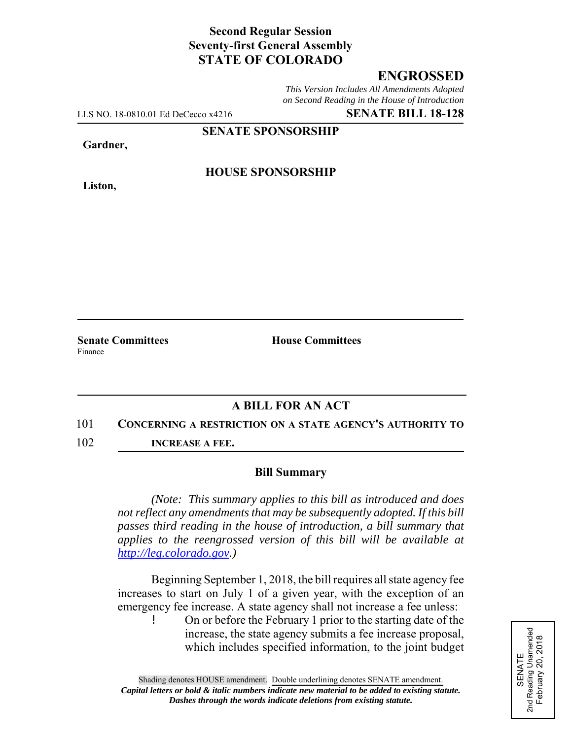## **Second Regular Session Seventy-first General Assembly STATE OF COLORADO**

# **ENGROSSED**

*This Version Includes All Amendments Adopted on Second Reading in the House of Introduction*

LLS NO. 18-0810.01 Ed DeCecco x4216 **SENATE BILL 18-128**

**SENATE SPONSORSHIP**

**Gardner,**

**Liston,**

**HOUSE SPONSORSHIP**

Finance

**Senate Committees House Committees** 

### **A BILL FOR AN ACT**

#### 101 **CONCERNING A RESTRICTION ON A STATE AGENCY'S AUTHORITY TO**

102 **INCREASE A FEE.**

#### **Bill Summary**

*(Note: This summary applies to this bill as introduced and does not reflect any amendments that may be subsequently adopted. If this bill passes third reading in the house of introduction, a bill summary that applies to the reengrossed version of this bill will be available at http://leg.colorado.gov.)*

Beginning September 1, 2018, the bill requires all state agency fee increases to start on July 1 of a given year, with the exception of an emergency fee increase. A state agency shall not increase a fee unless:

! On or before the February 1 prior to the starting date of the increase, the state agency submits a fee increase proposal, which includes specified information, to the joint budget

SENATE<br>
2nd Reading Unamended<br>
February 20, 2018 2nd Reading Unamended February 20, 2018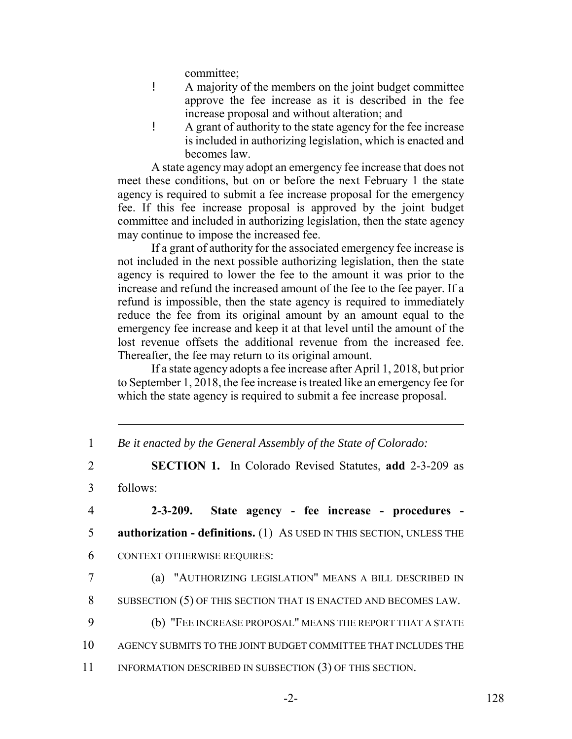committee;

- ! A majority of the members on the joint budget committee approve the fee increase as it is described in the fee increase proposal and without alteration; and
- ! A grant of authority to the state agency for the fee increase is included in authorizing legislation, which is enacted and becomes law.

A state agency may adopt an emergency fee increase that does not meet these conditions, but on or before the next February 1 the state agency is required to submit a fee increase proposal for the emergency fee. If this fee increase proposal is approved by the joint budget committee and included in authorizing legislation, then the state agency may continue to impose the increased fee.

If a grant of authority for the associated emergency fee increase is not included in the next possible authorizing legislation, then the state agency is required to lower the fee to the amount it was prior to the increase and refund the increased amount of the fee to the fee payer. If a refund is impossible, then the state agency is required to immediately reduce the fee from its original amount by an amount equal to the emergency fee increase and keep it at that level until the amount of the lost revenue offsets the additional revenue from the increased fee. Thereafter, the fee may return to its original amount.

If a state agency adopts a fee increase after April 1, 2018, but prior to September 1, 2018, the fee increase is treated like an emergency fee for which the state agency is required to submit a fee increase proposal.

|  |  |  | Be it enacted by the General Assembly of the State of Colorado: |
|--|--|--|-----------------------------------------------------------------|
|  |  |  |                                                                 |

4 **2-3-209. State agency - fee increase - procedures -** 5 **authorization - definitions.** (1) AS USED IN THIS SECTION, UNLESS THE 6 CONTEXT OTHERWISE REQUIRES:

7 (a) "AUTHORIZING LEGISLATION" MEANS A BILL DESCRIBED IN 8 SUBSECTION (5) OF THIS SECTION THAT IS ENACTED AND BECOMES LAW.

- 9 (b) "FEE INCREASE PROPOSAL" MEANS THE REPORT THAT A STATE
- 10 AGENCY SUBMITS TO THE JOINT BUDGET COMMITTEE THAT INCLUDES THE
- 11 INFORMATION DESCRIBED IN SUBSECTION (3) OF THIS SECTION.

<sup>2</sup> **SECTION 1.** In Colorado Revised Statutes, **add** 2-3-209 as

<sup>3</sup> follows: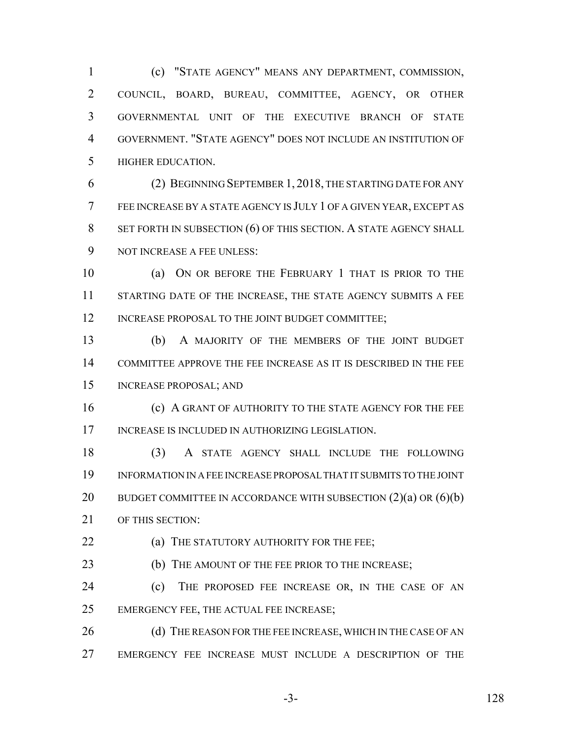(c) "STATE AGENCY" MEANS ANY DEPARTMENT, COMMISSION, COUNCIL, BOARD, BUREAU, COMMITTEE, AGENCY, OR OTHER GOVERNMENTAL UNIT OF THE EXECUTIVE BRANCH OF STATE GOVERNMENT. "STATE AGENCY" DOES NOT INCLUDE AN INSTITUTION OF HIGHER EDUCATION.

 (2) BEGINNING SEPTEMBER 1, 2018, THE STARTING DATE FOR ANY FEE INCREASE BY A STATE AGENCY IS JULY 1 OF A GIVEN YEAR, EXCEPT AS 8 SET FORTH IN SUBSECTION (6) OF THIS SECTION. A STATE AGENCY SHALL NOT INCREASE A FEE UNLESS:

 (a) ON OR BEFORE THE FEBRUARY 1 THAT IS PRIOR TO THE 11 STARTING DATE OF THE INCREASE, THE STATE AGENCY SUBMITS A FEE 12 INCREASE PROPOSAL TO THE JOINT BUDGET COMMITTEE;

 (b) A MAJORITY OF THE MEMBERS OF THE JOINT BUDGET COMMITTEE APPROVE THE FEE INCREASE AS IT IS DESCRIBED IN THE FEE INCREASE PROPOSAL; AND

**(c) A GRANT OF AUTHORITY TO THE STATE AGENCY FOR THE FEE** INCREASE IS INCLUDED IN AUTHORIZING LEGISLATION.

 (3) A STATE AGENCY SHALL INCLUDE THE FOLLOWING INFORMATION IN A FEE INCREASE PROPOSAL THAT IT SUBMITS TO THE JOINT 20 BUDGET COMMITTEE IN ACCORDANCE WITH SUBSECTION  $(2)(a)$  OR  $(6)(b)$ OF THIS SECTION:

**(a) THE STATUTORY AUTHORITY FOR THE FEE**;

**(b)** THE AMOUNT OF THE FEE PRIOR TO THE INCREASE;

 (c) THE PROPOSED FEE INCREASE OR, IN THE CASE OF AN EMERGENCY FEE, THE ACTUAL FEE INCREASE;

26 (d) THE REASON FOR THE FEE INCREASE, WHICH IN THE CASE OF AN EMERGENCY FEE INCREASE MUST INCLUDE A DESCRIPTION OF THE

-3- 128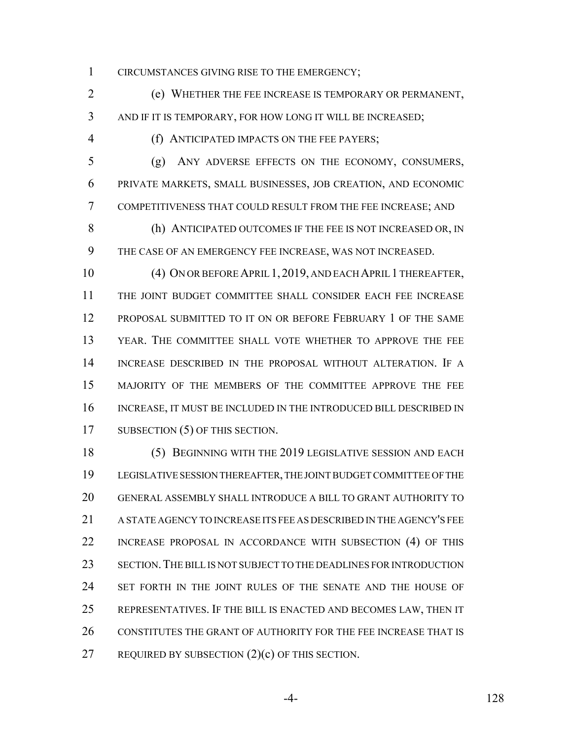CIRCUMSTANCES GIVING RISE TO THE EMERGENCY;

 (e) WHETHER THE FEE INCREASE IS TEMPORARY OR PERMANENT, AND IF IT IS TEMPORARY, FOR HOW LONG IT WILL BE INCREASED;

(f) ANTICIPATED IMPACTS ON THE FEE PAYERS;

 (g) ANY ADVERSE EFFECTS ON THE ECONOMY, CONSUMERS, PRIVATE MARKETS, SMALL BUSINESSES, JOB CREATION, AND ECONOMIC COMPETITIVENESS THAT COULD RESULT FROM THE FEE INCREASE; AND

 (h) ANTICIPATED OUTCOMES IF THE FEE IS NOT INCREASED OR, IN THE CASE OF AN EMERGENCY FEE INCREASE, WAS NOT INCREASED.

 (4) ON OR BEFORE APRIL 1, 2019, AND EACH APRIL 1 THEREAFTER, THE JOINT BUDGET COMMITTEE SHALL CONSIDER EACH FEE INCREASE PROPOSAL SUBMITTED TO IT ON OR BEFORE FEBRUARY 1 OF THE SAME YEAR. THE COMMITTEE SHALL VOTE WHETHER TO APPROVE THE FEE INCREASE DESCRIBED IN THE PROPOSAL WITHOUT ALTERATION. IF A MAJORITY OF THE MEMBERS OF THE COMMITTEE APPROVE THE FEE INCREASE, IT MUST BE INCLUDED IN THE INTRODUCED BILL DESCRIBED IN 17 SUBSECTION (5) OF THIS SECTION.

 (5) BEGINNING WITH THE 2019 LEGISLATIVE SESSION AND EACH LEGISLATIVE SESSION THEREAFTER, THE JOINT BUDGET COMMITTEE OF THE GENERAL ASSEMBLY SHALL INTRODUCE A BILL TO GRANT AUTHORITY TO A STATE AGENCY TO INCREASE ITS FEE AS DESCRIBED IN THE AGENCY'S FEE INCREASE PROPOSAL IN ACCORDANCE WITH SUBSECTION (4) OF THIS SECTION.THE BILL IS NOT SUBJECT TO THE DEADLINES FOR INTRODUCTION 24 SET FORTH IN THE JOINT RULES OF THE SENATE AND THE HOUSE OF REPRESENTATIVES. IF THE BILL IS ENACTED AND BECOMES LAW, THEN IT CONSTITUTES THE GRANT OF AUTHORITY FOR THE FEE INCREASE THAT IS REQUIRED BY SUBSECTION (2)(c) OF THIS SECTION.

-4- 128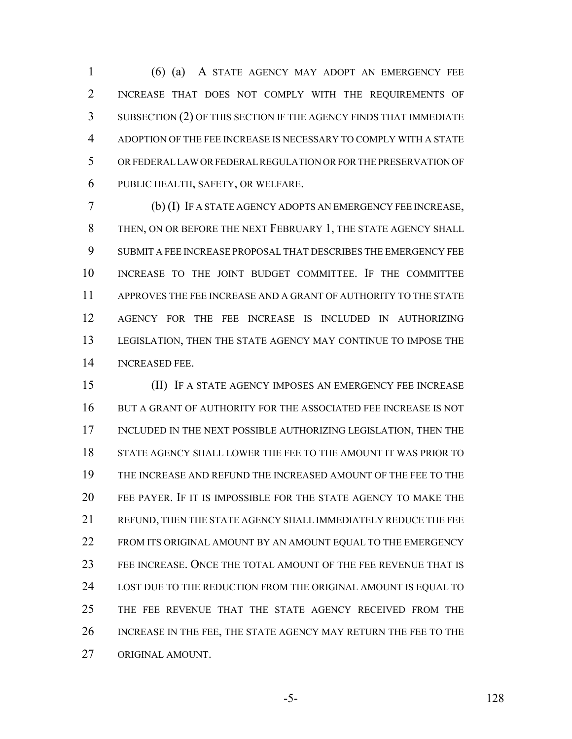(6) (a) A STATE AGENCY MAY ADOPT AN EMERGENCY FEE INCREASE THAT DOES NOT COMPLY WITH THE REQUIREMENTS OF SUBSECTION (2) OF THIS SECTION IF THE AGENCY FINDS THAT IMMEDIATE ADOPTION OF THE FEE INCREASE IS NECESSARY TO COMPLY WITH A STATE OR FEDERAL LAW OR FEDERAL REGULATION OR FOR THE PRESERVATION OF PUBLIC HEALTH, SAFETY, OR WELFARE.

 (b) (I) IF A STATE AGENCY ADOPTS AN EMERGENCY FEE INCREASE, THEN, ON OR BEFORE THE NEXT FEBRUARY 1, THE STATE AGENCY SHALL SUBMIT A FEE INCREASE PROPOSAL THAT DESCRIBES THE EMERGENCY FEE INCREASE TO THE JOINT BUDGET COMMITTEE. IF THE COMMITTEE APPROVES THE FEE INCREASE AND A GRANT OF AUTHORITY TO THE STATE AGENCY FOR THE FEE INCREASE IS INCLUDED IN AUTHORIZING LEGISLATION, THEN THE STATE AGENCY MAY CONTINUE TO IMPOSE THE INCREASED FEE.

 (II) IF A STATE AGENCY IMPOSES AN EMERGENCY FEE INCREASE 16 BUT A GRANT OF AUTHORITY FOR THE ASSOCIATED FEE INCREASE IS NOT INCLUDED IN THE NEXT POSSIBLE AUTHORIZING LEGISLATION, THEN THE STATE AGENCY SHALL LOWER THE FEE TO THE AMOUNT IT WAS PRIOR TO THE INCREASE AND REFUND THE INCREASED AMOUNT OF THE FEE TO THE FEE PAYER. IF IT IS IMPOSSIBLE FOR THE STATE AGENCY TO MAKE THE REFUND, THEN THE STATE AGENCY SHALL IMMEDIATELY REDUCE THE FEE 22 FROM ITS ORIGINAL AMOUNT BY AN AMOUNT EQUAL TO THE EMERGENCY FEE INCREASE. ONCE THE TOTAL AMOUNT OF THE FEE REVENUE THAT IS LOST DUE TO THE REDUCTION FROM THE ORIGINAL AMOUNT IS EQUAL TO THE FEE REVENUE THAT THE STATE AGENCY RECEIVED FROM THE INCREASE IN THE FEE, THE STATE AGENCY MAY RETURN THE FEE TO THE ORIGINAL AMOUNT.

-5- 128